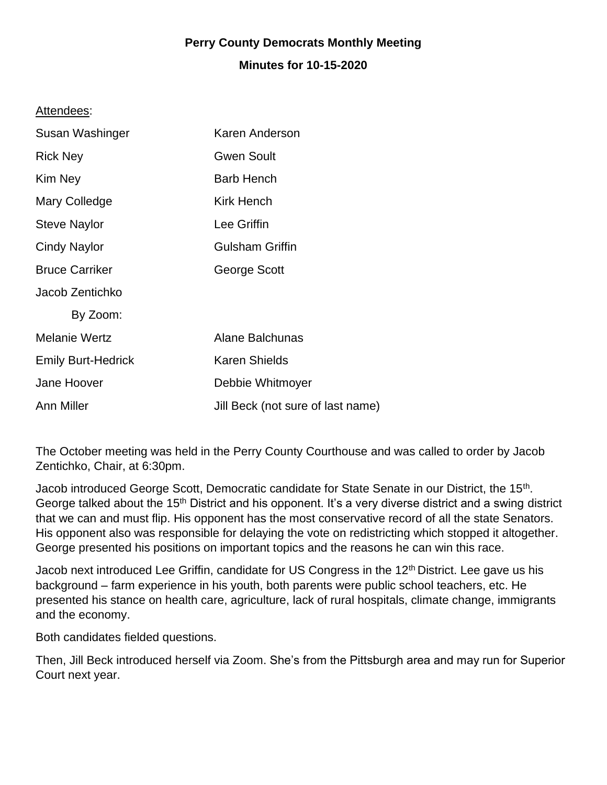## **Perry County Democrats Monthly Meeting**

## **Minutes for 10-15-2020**

## Attendees:

| Susan Washinger           | Karen Anderson                    |
|---------------------------|-----------------------------------|
| <b>Rick Ney</b>           | <b>Gwen Soult</b>                 |
| Kim Ney                   | <b>Barb Hench</b>                 |
| Mary Colledge             | <b>Kirk Hench</b>                 |
| <b>Steve Naylor</b>       | Lee Griffin                       |
| Cindy Naylor              | <b>Gulsham Griffin</b>            |
| <b>Bruce Carriker</b>     | George Scott                      |
| Jacob Zentichko           |                                   |
| By Zoom:                  |                                   |
| <b>Melanie Wertz</b>      | Alane Balchunas                   |
| <b>Emily Burt-Hedrick</b> | <b>Karen Shields</b>              |
| Jane Hoover               | Debbie Whitmoyer                  |
| Ann Miller                | Jill Beck (not sure of last name) |

The October meeting was held in the Perry County Courthouse and was called to order by Jacob Zentichko, Chair, at 6:30pm.

Jacob introduced George Scott, Democratic candidate for State Senate in our District, the 15<sup>th</sup>. George talked about the 15<sup>th</sup> District and his opponent. It's a very diverse district and a swing district that we can and must flip. His opponent has the most conservative record of all the state Senators. His opponent also was responsible for delaying the vote on redistricting which stopped it altogether. George presented his positions on important topics and the reasons he can win this race.

Jacob next introduced Lee Griffin, candidate for US Congress in the 12<sup>th</sup> District. Lee gave us his background – farm experience in his youth, both parents were public school teachers, etc. He presented his stance on health care, agriculture, lack of rural hospitals, climate change, immigrants and the economy.

Both candidates fielded questions.

Then, Jill Beck introduced herself via Zoom. She's from the Pittsburgh area and may run for Superior Court next year.